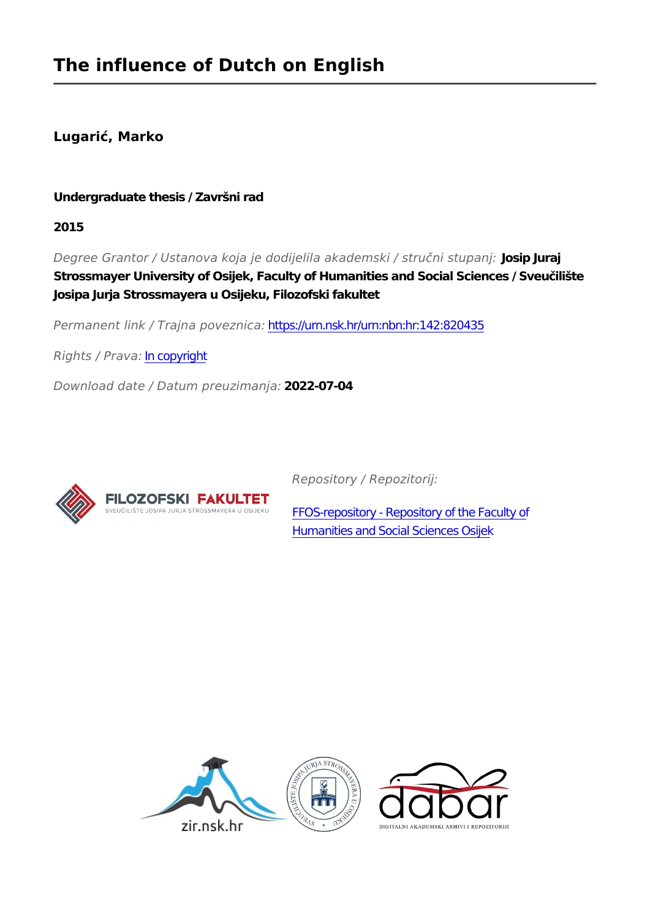**Lugarić, Marko**

# **Undergraduate thesis / Završni rad**

**2015**

*Degree Grantor / Ustanova koja je dodijelila akademski / stručni stupanj:* **Josip Juraj Strossmayer University of Osijek, Faculty of Humanities and Social Sciences / Sveučilište Josipa Jurja Strossmayera u Osijeku, Filozofski fakultet**

*Permanent link / Trajna poveznica:* <https://urn.nsk.hr/urn:nbn:hr:142:820435>

*Rights / Prava:* [In copyright](http://rightsstatements.org/vocab/InC/1.0/)

*Download date / Datum preuzimanja:* **2022-07-04**



*Repository / Repozitorij:*

[FFOS-repository - Repository of the Faculty of](https://repozitorij.ffos.hr) [Humanities and Social Sciences Osijek](https://repozitorij.ffos.hr)

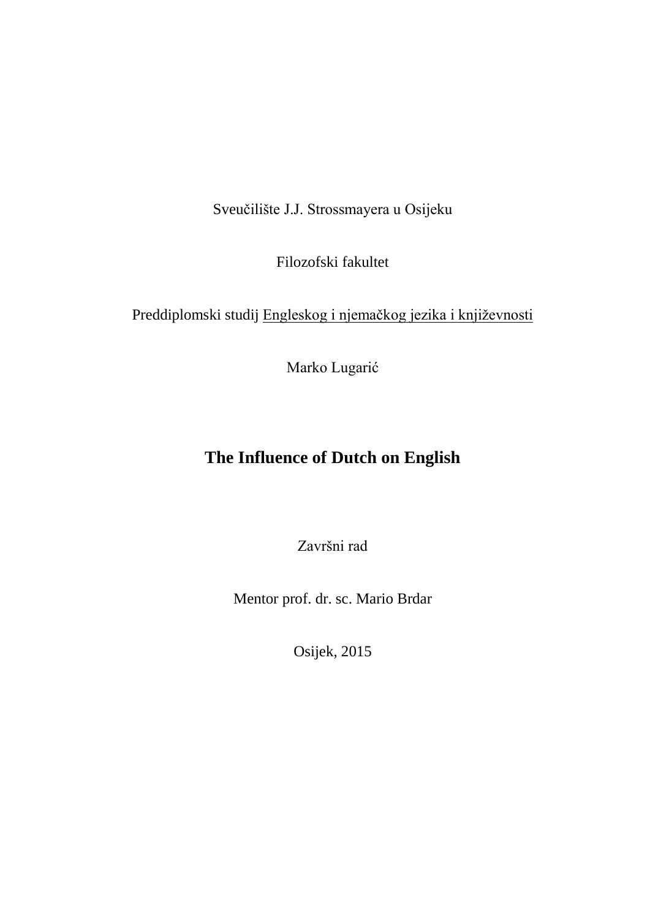Sveučilište J.J. Strossmayera u Osijeku

Filozofski fakultet

Preddiplomski studij Engleskog i njemačkog jezika i književnosti

Marko Lugarić

# **The Influence of Dutch on English**

Završni rad

Mentor prof. dr. sc. Mario Brdar

Osijek, 2015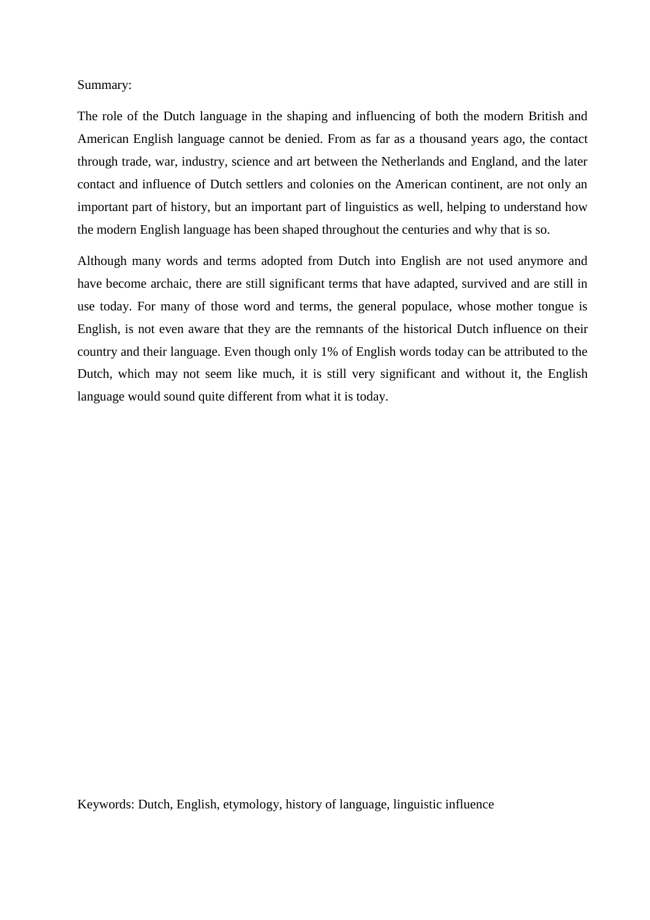## Summary:

The role of the Dutch language in the shaping and influencing of both the modern British and American English language cannot be denied. From as far as a thousand years ago, the contact through trade, war, industry, science and art between the Netherlands and England, and the later contact and influence of Dutch settlers and colonies on the American continent, are not only an important part of history, but an important part of linguistics as well, helping to understand how the modern English language has been shaped throughout the centuries and why that is so.

Although many words and terms adopted from Dutch into English are not used anymore and have become archaic, there are still significant terms that have adapted, survived and are still in use today. For many of those word and terms, the general populace, whose mother tongue is English, is not even aware that they are the remnants of the historical Dutch influence on their country and their language. Even though only 1% of English words today can be attributed to the Dutch, which may not seem like much, it is still very significant and without it, the English language would sound quite different from what it is today.

Keywords: Dutch, English, etymology, history of language, linguistic influence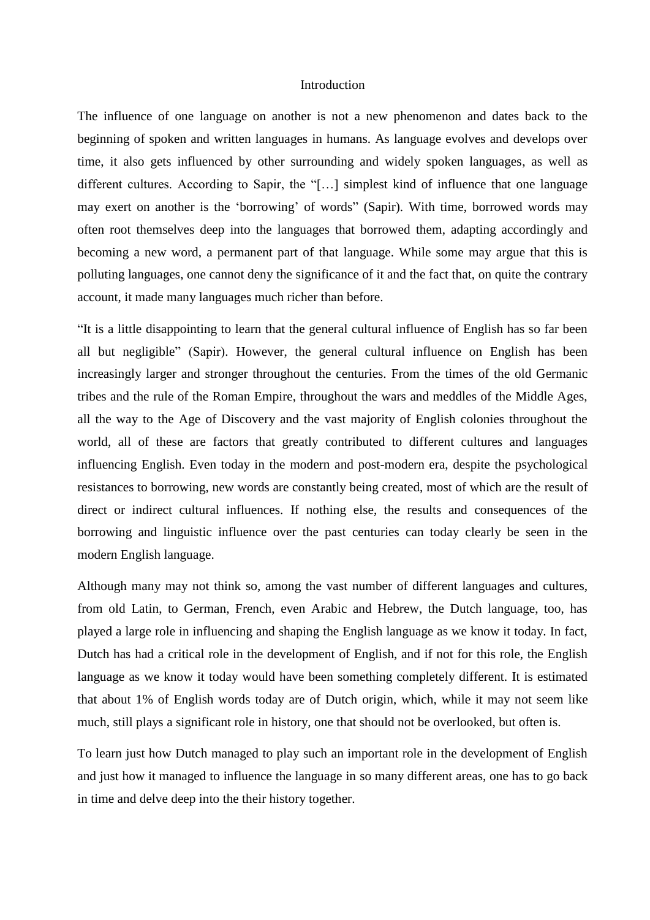#### Introduction

The influence of one language on another is not a new phenomenon and dates back to the beginning of spoken and written languages in humans. As language evolves and develops over time, it also gets influenced by other surrounding and widely spoken languages, as well as different cultures. According to Sapir, the "[…] simplest kind of influence that one language may exert on another is the 'borrowing' of words" (Sapir). With time, borrowed words may often root themselves deep into the languages that borrowed them, adapting accordingly and becoming a new word, a permanent part of that language. While some may argue that this is polluting languages, one cannot deny the significance of it and the fact that, on quite the contrary account, it made many languages much richer than before.

"It is a little disappointing to learn that the general cultural influence of English has so far been all but negligible" (Sapir). However, the general cultural influence on English has been increasingly larger and stronger throughout the centuries. From the times of the old Germanic tribes and the rule of the Roman Empire, throughout the wars and meddles of the Middle Ages, all the way to the Age of Discovery and the vast majority of English colonies throughout the world, all of these are factors that greatly contributed to different cultures and languages influencing English. Even today in the modern and post-modern era, despite the psychological resistances to borrowing, new words are constantly being created, most of which are the result of direct or indirect cultural influences. If nothing else, the results and consequences of the borrowing and linguistic influence over the past centuries can today clearly be seen in the modern English language.

Although many may not think so, among the vast number of different languages and cultures, from old Latin, to German, French, even Arabic and Hebrew, the Dutch language, too, has played a large role in influencing and shaping the English language as we know it today. In fact, Dutch has had a critical role in the development of English, and if not for this role, the English language as we know it today would have been something completely different. It is estimated that about 1% of English words today are of Dutch origin, which, while it may not seem like much, still plays a significant role in history, one that should not be overlooked, but often is.

To learn just how Dutch managed to play such an important role in the development of English and just how it managed to influence the language in so many different areas, one has to go back in time and delve deep into the their history together.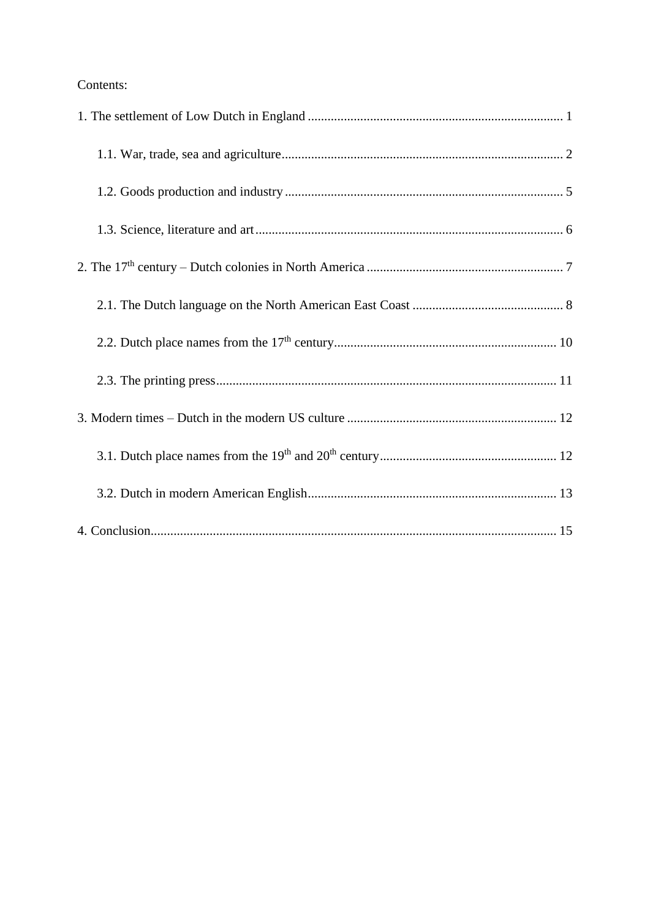# Contents: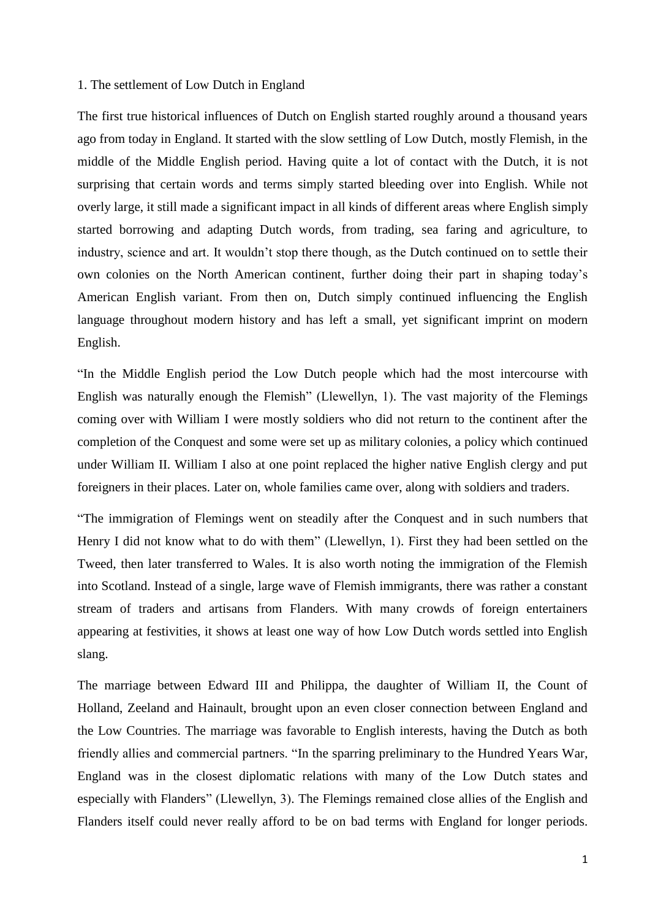#### 1. The settlement of Low Dutch in England

The first true historical influences of Dutch on English started roughly around a thousand years ago from today in England. It started with the slow settling of Low Dutch, mostly Flemish, in the middle of the Middle English period. Having quite a lot of contact with the Dutch, it is not surprising that certain words and terms simply started bleeding over into English. While not overly large, it still made a significant impact in all kinds of different areas where English simply started borrowing and adapting Dutch words, from trading, sea faring and agriculture, to industry, science and art. It wouldn't stop there though, as the Dutch continued on to settle their own colonies on the North American continent, further doing their part in shaping today's American English variant. From then on, Dutch simply continued influencing the English language throughout modern history and has left a small, yet significant imprint on modern English.

"In the Middle English period the Low Dutch people which had the most intercourse with English was naturally enough the Flemish" (Llewellyn, 1). The vast majority of the Flemings coming over with William I were mostly soldiers who did not return to the continent after the completion of the Conquest and some were set up as military colonies, a policy which continued under William II. William I also at one point replaced the higher native English clergy and put foreigners in their places. Later on, whole families came over, along with soldiers and traders.

"The immigration of Flemings went on steadily after the Conquest and in such numbers that Henry I did not know what to do with them" (Llewellyn, 1). First they had been settled on the Tweed, then later transferred to Wales. It is also worth noting the immigration of the Flemish into Scotland. Instead of a single, large wave of Flemish immigrants, there was rather a constant stream of traders and artisans from Flanders. With many crowds of foreign entertainers appearing at festivities, it shows at least one way of how Low Dutch words settled into English slang.

The marriage between Edward III and Philippa, the daughter of William II, the Count of Holland, Zeeland and Hainault, brought upon an even closer connection between England and the Low Countries. The marriage was favorable to English interests, having the Dutch as both friendly allies and commercial partners. "In the sparring preliminary to the Hundred Years War, England was in the closest diplomatic relations with many of the Low Dutch states and especially with Flanders" (Llewellyn, 3). The Flemings remained close allies of the English and Flanders itself could never really afford to be on bad terms with England for longer periods.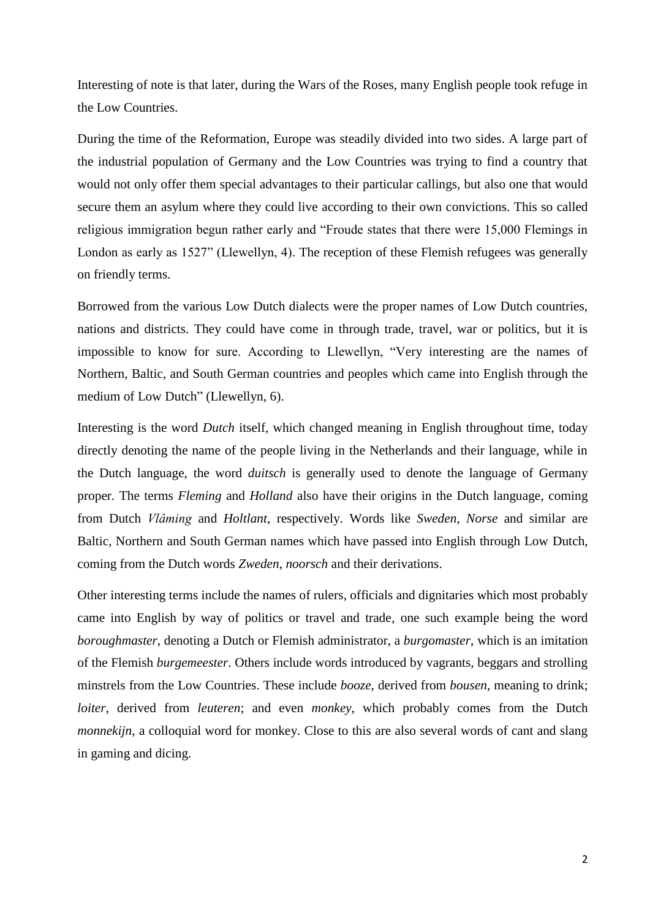Interesting of note is that later, during the Wars of the Roses, many English people took refuge in the Low Countries.

During the time of the Reformation, Europe was steadily divided into two sides. A large part of the industrial population of Germany and the Low Countries was trying to find a country that would not only offer them special advantages to their particular callings, but also one that would secure them an asylum where they could live according to their own convictions. This so called religious immigration begun rather early and "Froude states that there were 15,000 Flemings in London as early as 1527" (Llewellyn, 4). The reception of these Flemish refugees was generally on friendly terms.

Borrowed from the various Low Dutch dialects were the proper names of Low Dutch countries, nations and districts. They could have come in through trade, travel, war or politics, but it is impossible to know for sure. According to Llewellyn, "Very interesting are the names of Northern, Baltic, and South German countries and peoples which came into English through the medium of Low Dutch" (Llewellyn, 6).

Interesting is the word *Dutch* itself, which changed meaning in English throughout time, today directly denoting the name of the people living in the Netherlands and their language, while in the Dutch language, the word *duitsch* is generally used to denote the language of Germany proper. The terms *Fleming* and *Holland* also have their origins in the Dutch language, coming from Dutch *Vlâming* and *Holtlant*, respectively. Words like *Sweden*, *Norse* and similar are Baltic, Northern and South German names which have passed into English through Low Dutch, coming from the Dutch words *Zweden*, *noorsch* and their derivations.

Other interesting terms include the names of rulers, officials and dignitaries which most probably came into English by way of politics or travel and trade, one such example being the word *boroughmaster*, denoting a Dutch or Flemish administrator, a *burgomaster*, which is an imitation of the Flemish *burgemeester*. Others include words introduced by vagrants, beggars and strolling minstrels from the Low Countries. These include *booze*, derived from *bousen*, meaning to drink; *loiter*, derived from *leuteren*; and even *monkey*, which probably comes from the Dutch *monnekijn*, a colloquial word for monkey. Close to this are also several words of cant and slang in gaming and dicing.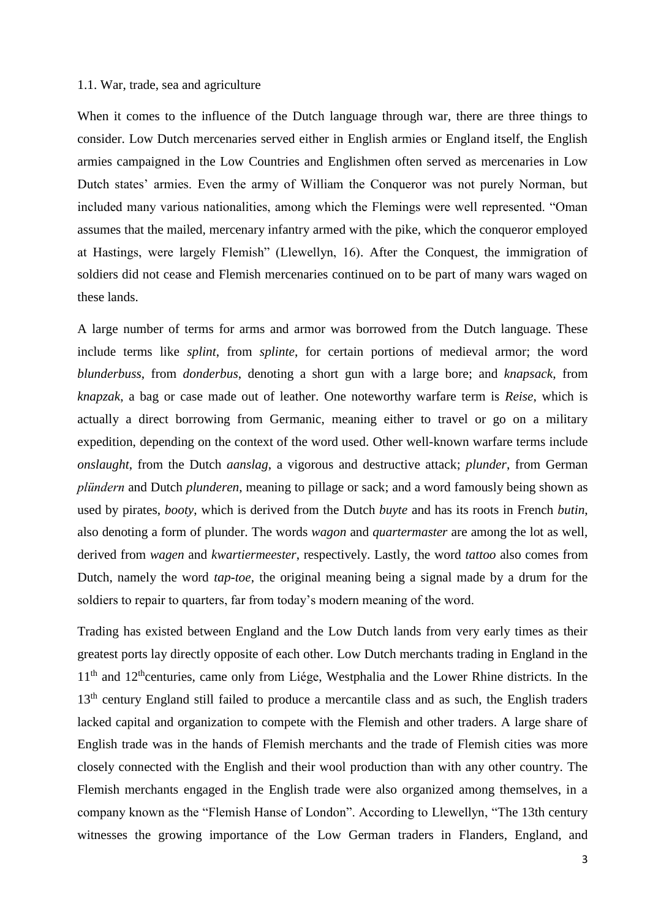# 1.1. War, trade, sea and agriculture

When it comes to the influence of the Dutch language through war, there are three things to consider. Low Dutch mercenaries served either in English armies or England itself, the English armies campaigned in the Low Countries and Englishmen often served as mercenaries in Low Dutch states' armies. Even the army of William the Conqueror was not purely Norman, but included many various nationalities, among which the Flemings were well represented. "Oman assumes that the mailed, mercenary infantry armed with the pike, which the conqueror employed at Hastings, were largely Flemish" (Llewellyn, 16). After the Conquest, the immigration of soldiers did not cease and Flemish mercenaries continued on to be part of many wars waged on these lands.

A large number of terms for arms and armor was borrowed from the Dutch language. These include terms like *splint*, from *splinte*, for certain portions of medieval armor; the word *blunderbuss*, from *donderbus*, denoting a short gun with a large bore; and *knapsack*, from *knapzak*, a bag or case made out of leather. One noteworthy warfare term is *Reise*, which is actually a direct borrowing from Germanic, meaning either to travel or go on a military expedition, depending on the context of the word used. Other well-known warfare terms include *onslaught*, from the Dutch *aanslag*, a vigorous and destructive attack; *plunder*, from German *plündern* and Dutch *plunderen*, meaning to pillage or sack; and a word famously being shown as used by pirates, *booty*, which is derived from the Dutch *buyte* and has its roots in French *butin*, also denoting a form of plunder. The words *wagon* and *quartermaster* are among the lot as well, derived from *wagen* and *kwartiermeester*, respectively. Lastly, the word *tattoo* also comes from Dutch, namely the word *tap-toe*, the original meaning being a signal made by a drum for the soldiers to repair to quarters, far from today's modern meaning of the word.

Trading has existed between England and the Low Dutch lands from very early times as their greatest ports lay directly opposite of each other. Low Dutch merchants trading in England in the 11<sup>th</sup> and 12<sup>th</sup>centuries, came only from Liége, Westphalia and the Lower Rhine districts. In the 13<sup>th</sup> century England still failed to produce a mercantile class and as such, the English traders lacked capital and organization to compete with the Flemish and other traders. A large share of English trade was in the hands of Flemish merchants and the trade of Flemish cities was more closely connected with the English and their wool production than with any other country. The Flemish merchants engaged in the English trade were also organized among themselves, in a company known as the "Flemish Hanse of London". According to Llewellyn, "The 13th century witnesses the growing importance of the Low German traders in Flanders, England, and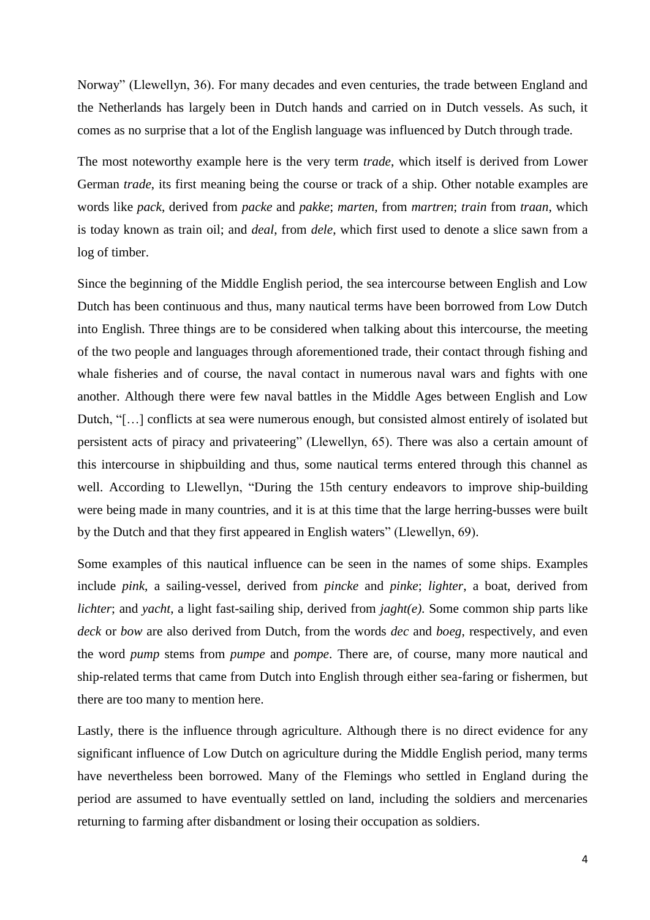Norway" (Llewellyn, 36). For many decades and even centuries, the trade between England and the Netherlands has largely been in Dutch hands and carried on in Dutch vessels. As such, it comes as no surprise that a lot of the English language was influenced by Dutch through trade.

The most noteworthy example here is the very term *trade*, which itself is derived from Lower German *trade*, its first meaning being the course or track of a ship. Other notable examples are words like *pack*, derived from *packe* and *pakke*; *marten*, from *martren*; *train* from *traan*, which is today known as train oil; and *deal*, from *dele*, which first used to denote a slice sawn from a log of timber.

Since the beginning of the Middle English period, the sea intercourse between English and Low Dutch has been continuous and thus, many nautical terms have been borrowed from Low Dutch into English. Three things are to be considered when talking about this intercourse, the meeting of the two people and languages through aforementioned trade, their contact through fishing and whale fisheries and of course, the naval contact in numerous naval wars and fights with one another. Although there were few naval battles in the Middle Ages between English and Low Dutch, "[…] conflicts at sea were numerous enough, but consisted almost entirely of isolated but persistent acts of piracy and privateering" (Llewellyn, 65). There was also a certain amount of this intercourse in shipbuilding and thus, some nautical terms entered through this channel as well. According to Llewellyn, "During the 15th century endeavors to improve ship-building were being made in many countries, and it is at this time that the large herring-busses were built by the Dutch and that they first appeared in English waters" (Llewellyn, 69).

Some examples of this nautical influence can be seen in the names of some ships. Examples include *pink*, a sailing-vessel, derived from *pincke* and *pinke*; *lighter*, a boat, derived from *lichter*; and *yacht*, a light fast-sailing ship, derived from *jaght(e)*. Some common ship parts like *deck* or *bow* are also derived from Dutch, from the words *dec* and *boeg*, respectively, and even the word *pump* stems from *pumpe* and *pompe*. There are, of course, many more nautical and ship-related terms that came from Dutch into English through either sea-faring or fishermen, but there are too many to mention here.

Lastly, there is the influence through agriculture. Although there is no direct evidence for any significant influence of Low Dutch on agriculture during the Middle English period, many terms have nevertheless been borrowed. Many of the Flemings who settled in England during the period are assumed to have eventually settled on land, including the soldiers and mercenaries returning to farming after disbandment or losing their occupation as soldiers.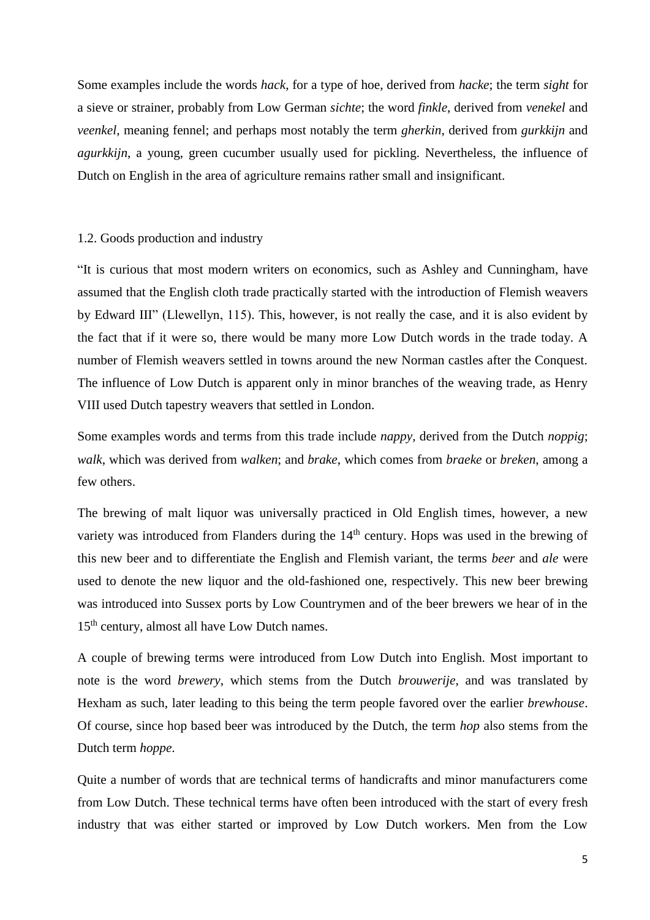Some examples include the words *hack*, for a type of hoe, derived from *hacke*; the term *sight* for a sieve or strainer, probably from Low German *sichte*; the word *finkle*, derived from *venekel* and *veenkel*, meaning fennel; and perhaps most notably the term *gherkin*, derived from *gurkkijn* and *agurkkijn*, a young, green cucumber usually used for pickling. Nevertheless, the influence of Dutch on English in the area of agriculture remains rather small and insignificant.

#### 1.2. Goods production and industry

"It is curious that most modern writers on economics, such as Ashley and Cunningham, have assumed that the English cloth trade practically started with the introduction of Flemish weavers by Edward III" (Llewellyn, 115). This, however, is not really the case, and it is also evident by the fact that if it were so, there would be many more Low Dutch words in the trade today. A number of Flemish weavers settled in towns around the new Norman castles after the Conquest. The influence of Low Dutch is apparent only in minor branches of the weaving trade, as Henry VIII used Dutch tapestry weavers that settled in London.

Some examples words and terms from this trade include *nappy*, derived from the Dutch *noppig*; *walk*, which was derived from *walken*; and *brake*, which comes from *braeke* or *breken*, among a few others.

The brewing of malt liquor was universally practiced in Old English times, however, a new variety was introduced from Flanders during the  $14<sup>th</sup>$  century. Hops was used in the brewing of this new beer and to differentiate the English and Flemish variant, the terms *beer* and *ale* were used to denote the new liquor and the old-fashioned one, respectively. This new beer brewing was introduced into Sussex ports by Low Countrymen and of the beer brewers we hear of in the 15<sup>th</sup> century, almost all have Low Dutch names.

A couple of brewing terms were introduced from Low Dutch into English. Most important to note is the word *brewery*, which stems from the Dutch *brouwerije*, and was translated by Hexham as such, later leading to this being the term people favored over the earlier *brewhouse*. Of course, since hop based beer was introduced by the Dutch, the term *hop* also stems from the Dutch term *hoppe*.

Quite a number of words that are technical terms of handicrafts and minor manufacturers come from Low Dutch. These technical terms have often been introduced with the start of every fresh industry that was either started or improved by Low Dutch workers. Men from the Low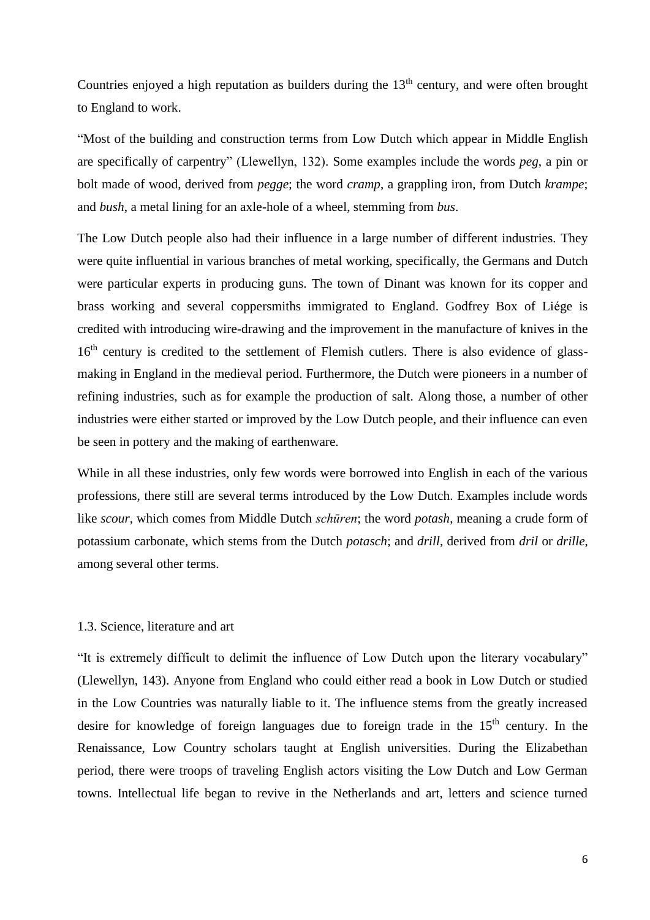Countries enjoyed a high reputation as builders during the  $13<sup>th</sup>$  century, and were often brought to England to work.

"Most of the building and construction terms from Low Dutch which appear in Middle English are specifically of carpentry" (Llewellyn, 132). Some examples include the words *peg*, a pin or bolt made of wood, derived from *pegge*; the word *cramp*, a grappling iron, from Dutch *krampe*; and *bush*, a metal lining for an axle-hole of a wheel, stemming from *bus*.

The Low Dutch people also had their influence in a large number of different industries. They were quite influential in various branches of metal working, specifically, the Germans and Dutch were particular experts in producing guns. The town of Dinant was known for its copper and brass working and several coppersmiths immigrated to England. Godfrey Box of Liége is credited with introducing wire-drawing and the improvement in the manufacture of knives in the 16<sup>th</sup> century is credited to the settlement of Flemish cutlers. There is also evidence of glassmaking in England in the medieval period. Furthermore, the Dutch were pioneers in a number of refining industries, such as for example the production of salt. Along those, a number of other industries were either started or improved by the Low Dutch people, and their influence can even be seen in pottery and the making of earthenware.

While in all these industries, only few words were borrowed into English in each of the various professions, there still are several terms introduced by the Low Dutch. Examples include words like *scour*, which comes from Middle Dutch *schūren*; the word *potash*, meaning a crude form of potassium carbonate, which stems from the Dutch *potasch*; and *drill*, derived from *dril* or *drille*, among several other terms.

#### 1.3. Science, literature and art

"It is extremely difficult to delimit the influence of Low Dutch upon the literary vocabulary" (Llewellyn, 143). Anyone from England who could either read a book in Low Dutch or studied in the Low Countries was naturally liable to it. The influence stems from the greatly increased desire for knowledge of foreign languages due to foreign trade in the  $15<sup>th</sup>$  century. In the Renaissance, Low Country scholars taught at English universities. During the Elizabethan period, there were troops of traveling English actors visiting the Low Dutch and Low German towns. Intellectual life began to revive in the Netherlands and art, letters and science turned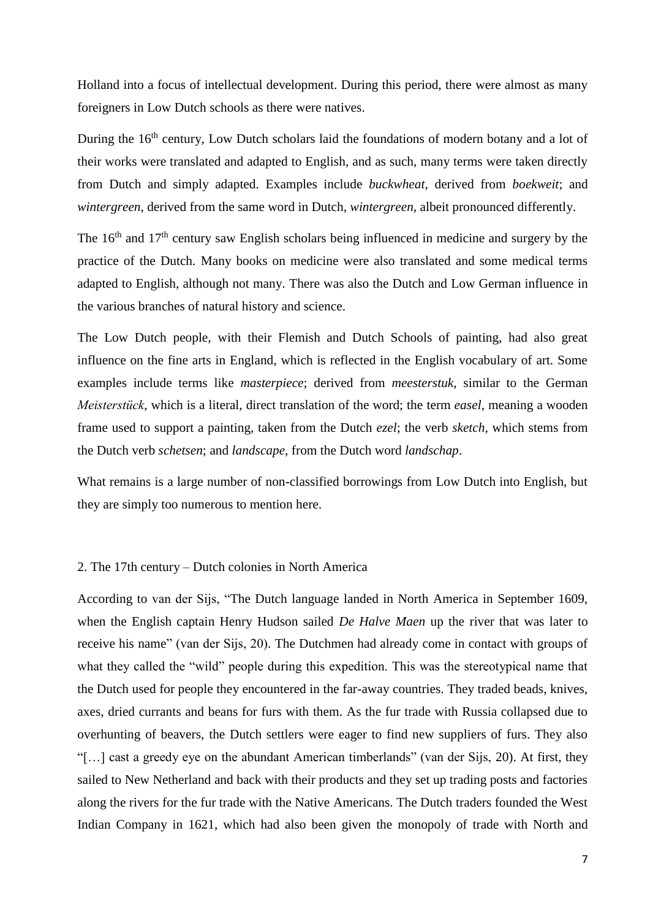Holland into a focus of intellectual development. During this period, there were almost as many foreigners in Low Dutch schools as there were natives.

During the 16<sup>th</sup> century, Low Dutch scholars laid the foundations of modern botany and a lot of their works were translated and adapted to English, and as such, many terms were taken directly from Dutch and simply adapted. Examples include *buckwheat*, derived from *boekweit*; and *wintergreen*, derived from the same word in Dutch, *wintergreen*, albeit pronounced differently.

The 16<sup>th</sup> and 17<sup>th</sup> century saw English scholars being influenced in medicine and surgery by the practice of the Dutch. Many books on medicine were also translated and some medical terms adapted to English, although not many. There was also the Dutch and Low German influence in the various branches of natural history and science.

The Low Dutch people, with their Flemish and Dutch Schools of painting, had also great influence on the fine arts in England, which is reflected in the English vocabulary of art. Some examples include terms like *masterpiece*; derived from *meesterstuk*, similar to the German *Meisterstück*, which is a literal, direct translation of the word; the term *easel*, meaning a wooden frame used to support a painting, taken from the Dutch *ezel*; the verb *sketch*, which stems from the Dutch verb *schetsen*; and *landscape*, from the Dutch word *landschap*.

What remains is a large number of non-classified borrowings from Low Dutch into English, but they are simply too numerous to mention here.

#### 2. The 17th century – Dutch colonies in North America

According to van der Sijs, "The Dutch language landed in North America in September 1609, when the English captain Henry Hudson sailed *De Halve Maen* up the river that was later to receive his name" (van der Sijs, 20). The Dutchmen had already come in contact with groups of what they called the "wild" people during this expedition. This was the stereotypical name that the Dutch used for people they encountered in the far-away countries. They traded beads, knives, axes, dried currants and beans for furs with them. As the fur trade with Russia collapsed due to overhunting of beavers, the Dutch settlers were eager to find new suppliers of furs. They also "[…] cast a greedy eye on the abundant American timberlands" (van der Sijs, 20). At first, they sailed to New Netherland and back with their products and they set up trading posts and factories along the rivers for the fur trade with the Native Americans. The Dutch traders founded the West Indian Company in 1621, which had also been given the monopoly of trade with North and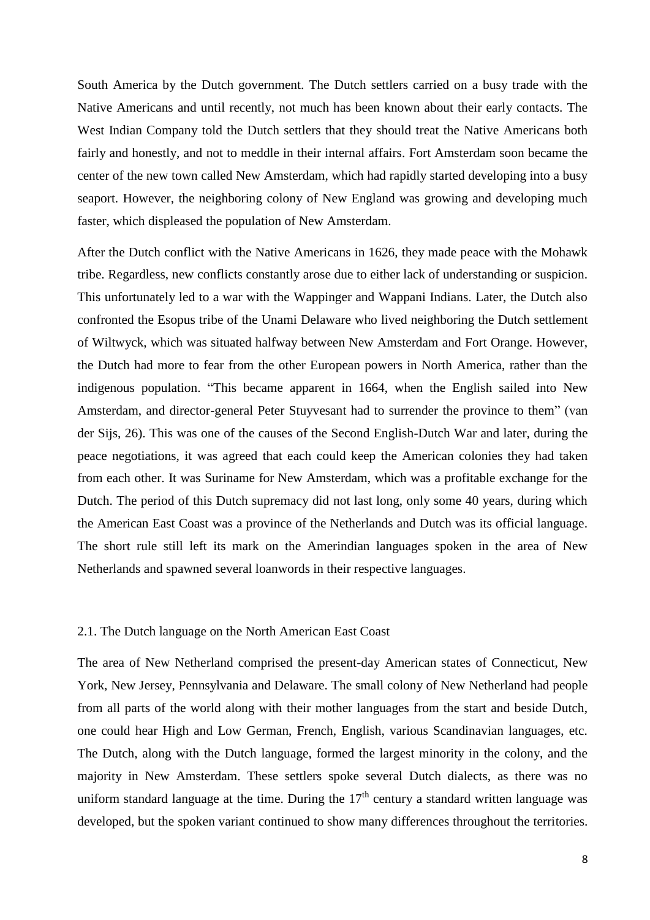South America by the Dutch government. The Dutch settlers carried on a busy trade with the Native Americans and until recently, not much has been known about their early contacts. The West Indian Company told the Dutch settlers that they should treat the Native Americans both fairly and honestly, and not to meddle in their internal affairs. Fort Amsterdam soon became the center of the new town called New Amsterdam, which had rapidly started developing into a busy seaport. However, the neighboring colony of New England was growing and developing much faster, which displeased the population of New Amsterdam.

After the Dutch conflict with the Native Americans in 1626, they made peace with the Mohawk tribe. Regardless, new conflicts constantly arose due to either lack of understanding or suspicion. This unfortunately led to a war with the Wappinger and Wappani Indians. Later, the Dutch also confronted the Esopus tribe of the Unami Delaware who lived neighboring the Dutch settlement of Wiltwyck, which was situated halfway between New Amsterdam and Fort Orange. However, the Dutch had more to fear from the other European powers in North America, rather than the indigenous population. "This became apparent in 1664, when the English sailed into New Amsterdam, and director-general Peter Stuyvesant had to surrender the province to them" (van der Sijs, 26). This was one of the causes of the Second English-Dutch War and later, during the peace negotiations, it was agreed that each could keep the American colonies they had taken from each other. It was Suriname for New Amsterdam, which was a profitable exchange for the Dutch. The period of this Dutch supremacy did not last long, only some 40 years, during which the American East Coast was a province of the Netherlands and Dutch was its official language. The short rule still left its mark on the Amerindian languages spoken in the area of New Netherlands and spawned several loanwords in their respective languages.

#### 2.1. The Dutch language on the North American East Coast

The area of New Netherland comprised the present-day American states of Connecticut, New York, New Jersey, Pennsylvania and Delaware. The small colony of New Netherland had people from all parts of the world along with their mother languages from the start and beside Dutch, one could hear High and Low German, French, English, various Scandinavian languages, etc. The Dutch, along with the Dutch language, formed the largest minority in the colony, and the majority in New Amsterdam. These settlers spoke several Dutch dialects, as there was no uniform standard language at the time. During the  $17<sup>th</sup>$  century a standard written language was developed, but the spoken variant continued to show many differences throughout the territories.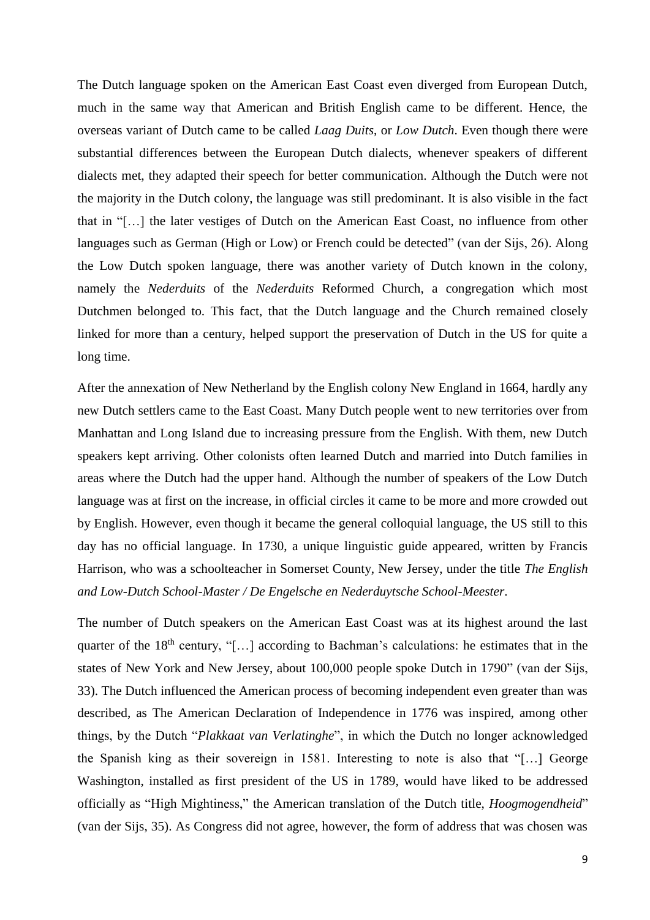The Dutch language spoken on the American East Coast even diverged from European Dutch, much in the same way that American and British English came to be different. Hence, the overseas variant of Dutch came to be called *Laag Duits*, or *Low Dutch*. Even though there were substantial differences between the European Dutch dialects, whenever speakers of different dialects met, they adapted their speech for better communication. Although the Dutch were not the majority in the Dutch colony, the language was still predominant. It is also visible in the fact that in "[…] the later vestiges of Dutch on the American East Coast, no influence from other languages such as German (High or Low) or French could be detected" (van der Sijs, 26). Along the Low Dutch spoken language, there was another variety of Dutch known in the colony, namely the *Nederduits* of the *Nederduits* Reformed Church, a congregation which most Dutchmen belonged to. This fact, that the Dutch language and the Church remained closely linked for more than a century, helped support the preservation of Dutch in the US for quite a long time.

After the annexation of New Netherland by the English colony New England in 1664, hardly any new Dutch settlers came to the East Coast. Many Dutch people went to new territories over from Manhattan and Long Island due to increasing pressure from the English. With them, new Dutch speakers kept arriving. Other colonists often learned Dutch and married into Dutch families in areas where the Dutch had the upper hand. Although the number of speakers of the Low Dutch language was at first on the increase, in official circles it came to be more and more crowded out by English. However, even though it became the general colloquial language, the US still to this day has no official language. In 1730, a unique linguistic guide appeared, written by Francis Harrison, who was a schoolteacher in Somerset County, New Jersey, under the title *The English and Low-Dutch School-Master / De Engelsche en Nederduytsche School-Meester*.

The number of Dutch speakers on the American East Coast was at its highest around the last quarter of the  $18<sup>th</sup>$  century, "[...] according to Bachman's calculations: he estimates that in the states of New York and New Jersey, about 100,000 people spoke Dutch in 1790" (van der Sijs, 33). The Dutch influenced the American process of becoming independent even greater than was described, as The American Declaration of Independence in 1776 was inspired, among other things, by the Dutch "*Plakkaat van Verlatinghe*", in which the Dutch no longer acknowledged the Spanish king as their sovereign in 1581. Interesting to note is also that "[…] George Washington, installed as first president of the US in 1789, would have liked to be addressed officially as "High Mightiness," the American translation of the Dutch title, *Hoogmogendheid*" (van der Sijs, 35). As Congress did not agree, however, the form of address that was chosen was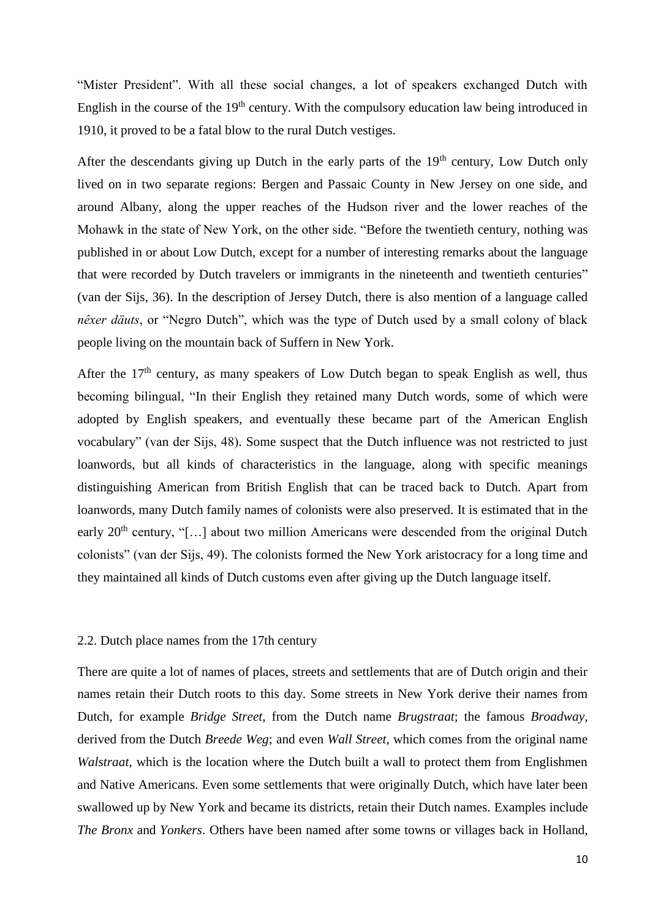"Mister President". With all these social changes, a lot of speakers exchanged Dutch with English in the course of the 19<sup>th</sup> century. With the compulsory education law being introduced in 1910, it proved to be a fatal blow to the rural Dutch vestiges.

After the descendants giving up Dutch in the early parts of the  $19<sup>th</sup>$  century, Low Dutch only lived on in two separate regions: Bergen and Passaic County in New Jersey on one side, and around Albany, along the upper reaches of the Hudson river and the lower reaches of the Mohawk in the state of New York, on the other side. "Before the twentieth century, nothing was published in or about Low Dutch, except for a number of interesting remarks about the language that were recorded by Dutch travelers or immigrants in the nineteenth and twentieth centuries" (van der Sijs, 36). In the description of Jersey Dutch, there is also mention of a language called *nêxer däuts*, or "Negro Dutch", which was the type of Dutch used by a small colony of black people living on the mountain back of Suffern in New York.

After the  $17<sup>th</sup>$  century, as many speakers of Low Dutch began to speak English as well, thus becoming bilingual, "In their English they retained many Dutch words, some of which were adopted by English speakers, and eventually these became part of the American English vocabulary" (van der Sijs, 48). Some suspect that the Dutch influence was not restricted to just loanwords, but all kinds of characteristics in the language, along with specific meanings distinguishing American from British English that can be traced back to Dutch. Apart from loanwords, many Dutch family names of colonists were also preserved. It is estimated that in the early  $20<sup>th</sup>$  century, "[...] about two million Americans were descended from the original Dutch colonists" (van der Sijs, 49). The colonists formed the New York aristocracy for a long time and they maintained all kinds of Dutch customs even after giving up the Dutch language itself.

#### 2.2. Dutch place names from the 17th century

There are quite a lot of names of places, streets and settlements that are of Dutch origin and their names retain their Dutch roots to this day. Some streets in New York derive their names from Dutch, for example *Bridge Street*, from the Dutch name *Brugstraat*; the famous *Broadway*, derived from the Dutch *Breede Weg*; and even *Wall Street*, which comes from the original name *Walstraat*, which is the location where the Dutch built a wall to protect them from Englishmen and Native Americans. Even some settlements that were originally Dutch, which have later been swallowed up by New York and became its districts, retain their Dutch names. Examples include *The Bronx* and *Yonkers*. Others have been named after some towns or villages back in Holland,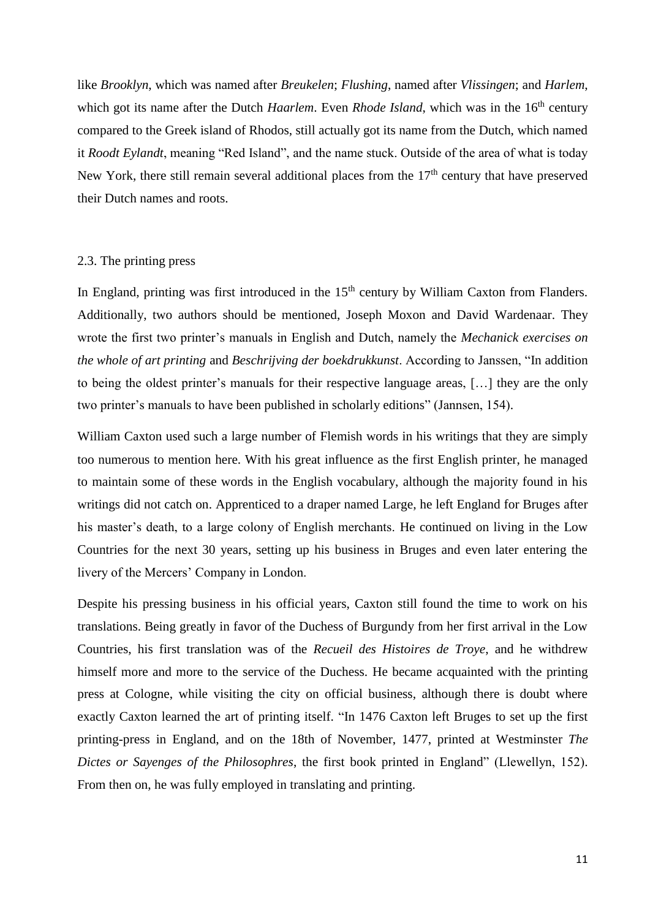like *Brooklyn*, which was named after *Breukelen*; *Flushing*, named after *Vlissingen*; and *Harlem*, which got its name after the Dutch *Haarlem*. Even *Rhode Island*, which was in the 16<sup>th</sup> century compared to the Greek island of Rhodos, still actually got its name from the Dutch, which named it *Roodt Eylandt*, meaning "Red Island", and the name stuck. Outside of the area of what is today New York, there still remain several additional places from the  $17<sup>th</sup>$  century that have preserved their Dutch names and roots.

## 2.3. The printing press

In England, printing was first introduced in the 15<sup>th</sup> century by William Caxton from Flanders. Additionally, two authors should be mentioned, Joseph Moxon and David Wardenaar. They wrote the first two printer's manuals in English and Dutch, namely the *Mechanick exercises on the whole of art printing* and *Beschrijving der boekdrukkunst*. According to Janssen, "In addition to being the oldest printer's manuals for their respective language areas, […] they are the only two printer's manuals to have been published in scholarly editions" (Jannsen, 154).

William Caxton used such a large number of Flemish words in his writings that they are simply too numerous to mention here. With his great influence as the first English printer, he managed to maintain some of these words in the English vocabulary, although the majority found in his writings did not catch on. Apprenticed to a draper named Large, he left England for Bruges after his master's death, to a large colony of English merchants. He continued on living in the Low Countries for the next 30 years, setting up his business in Bruges and even later entering the livery of the Mercers' Company in London.

Despite his pressing business in his official years, Caxton still found the time to work on his translations. Being greatly in favor of the Duchess of Burgundy from her first arrival in the Low Countries, his first translation was of the *Recueil des Histoires de Troye*, and he withdrew himself more and more to the service of the Duchess. He became acquainted with the printing press at Cologne, while visiting the city on official business, although there is doubt where exactly Caxton learned the art of printing itself. "In 1476 Caxton left Bruges to set up the first printing-press in England, and on the 18th of November, 1477, printed at Westminster *The Dictes or Sayenges of the Philosophres*, the first book printed in England" (Llewellyn, 152). From then on, he was fully employed in translating and printing.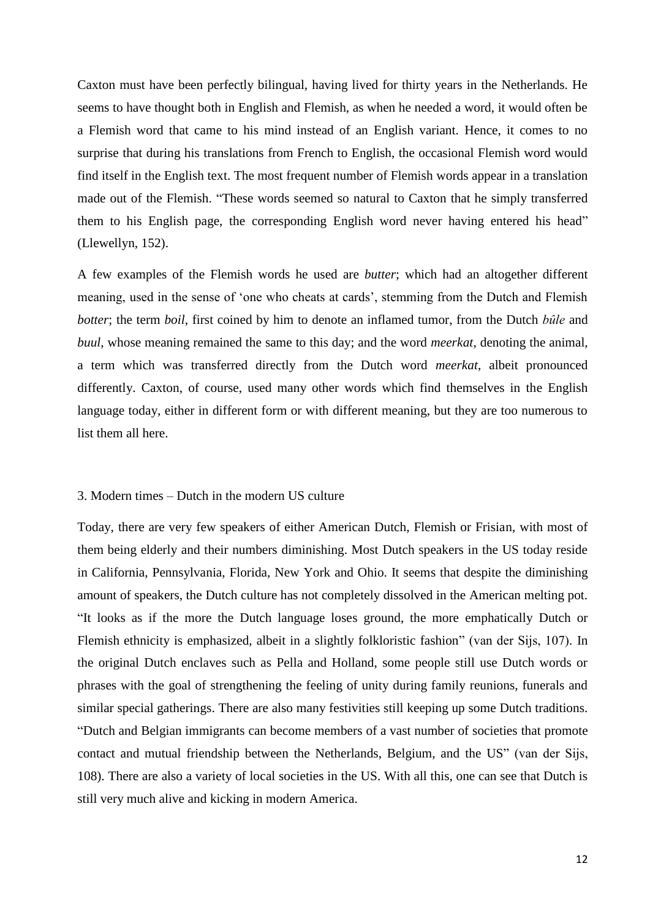Caxton must have been perfectly bilingual, having lived for thirty years in the Netherlands. He seems to have thought both in English and Flemish, as when he needed a word, it would often be a Flemish word that came to his mind instead of an English variant. Hence, it comes to no surprise that during his translations from French to English, the occasional Flemish word would find itself in the English text. The most frequent number of Flemish words appear in a translation made out of the Flemish. "These words seemed so natural to Caxton that he simply transferred them to his English page, the corresponding English word never having entered his head" (Llewellyn, 152).

A few examples of the Flemish words he used are *butter*; which had an altogether different meaning, used in the sense of 'one who cheats at cards', stemming from the Dutch and Flemish *botter*; the term *boil*, first coined by him to denote an inflamed tumor, from the Dutch *bûle* and *buul*, whose meaning remained the same to this day; and the word *meerkat*, denoting the animal, a term which was transferred directly from the Dutch word *meerkat*, albeit pronounced differently. Caxton, of course, used many other words which find themselves in the English language today, either in different form or with different meaning, but they are too numerous to list them all here.

## 3. Modern times – Dutch in the modern US culture

Today, there are very few speakers of either American Dutch, Flemish or Frisian, with most of them being elderly and their numbers diminishing. Most Dutch speakers in the US today reside in California, Pennsylvania, Florida, New York and Ohio. It seems that despite the diminishing amount of speakers, the Dutch culture has not completely dissolved in the American melting pot. "It looks as if the more the Dutch language loses ground, the more emphatically Dutch or Flemish ethnicity is emphasized, albeit in a slightly folkloristic fashion" (van der Sijs, 107). In the original Dutch enclaves such as Pella and Holland, some people still use Dutch words or phrases with the goal of strengthening the feeling of unity during family reunions, funerals and similar special gatherings. There are also many festivities still keeping up some Dutch traditions. "Dutch and Belgian immigrants can become members of a vast number of societies that promote contact and mutual friendship between the Netherlands, Belgium, and the US" (van der Sijs, 108). There are also a variety of local societies in the US. With all this, one can see that Dutch is still very much alive and kicking in modern America.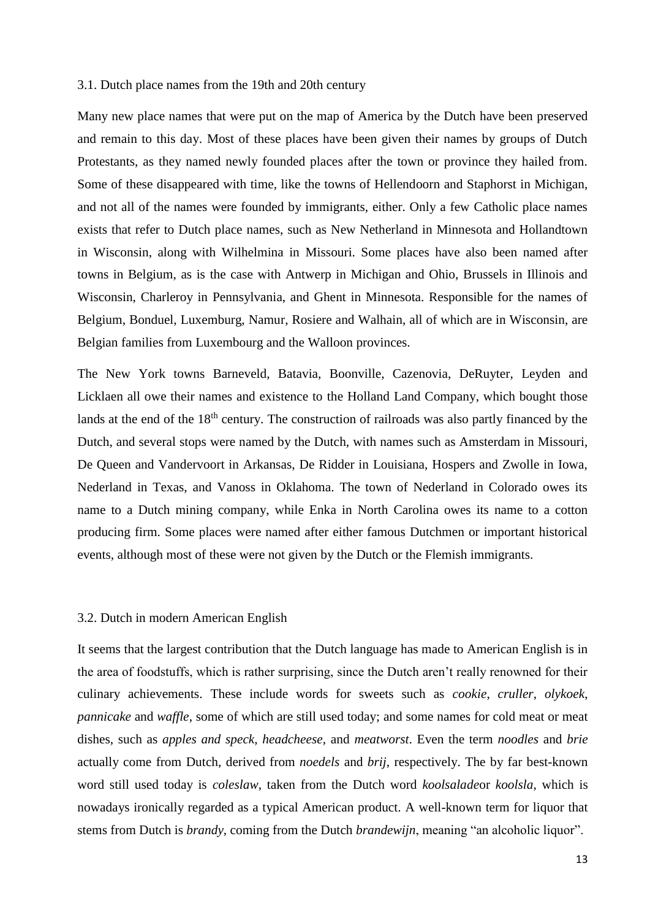#### 3.1. Dutch place names from the 19th and 20th century

Many new place names that were put on the map of America by the Dutch have been preserved and remain to this day. Most of these places have been given their names by groups of Dutch Protestants, as they named newly founded places after the town or province they hailed from. Some of these disappeared with time, like the towns of Hellendoorn and Staphorst in Michigan, and not all of the names were founded by immigrants, either. Only a few Catholic place names exists that refer to Dutch place names, such as New Netherland in Minnesota and Hollandtown in Wisconsin, along with Wilhelmina in Missouri. Some places have also been named after towns in Belgium, as is the case with Antwerp in Michigan and Ohio, Brussels in Illinois and Wisconsin, Charleroy in Pennsylvania, and Ghent in Minnesota. Responsible for the names of Belgium, Bonduel, Luxemburg, Namur, Rosiere and Walhain, all of which are in Wisconsin, are Belgian families from Luxembourg and the Walloon provinces.

The New York towns Barneveld, Batavia, Boonville, Cazenovia, DeRuyter, Leyden and Licklaen all owe their names and existence to the Holland Land Company, which bought those lands at the end of the 18<sup>th</sup> century. The construction of railroads was also partly financed by the Dutch, and several stops were named by the Dutch, with names such as Amsterdam in Missouri, De Queen and Vandervoort in Arkansas, De Ridder in Louisiana, Hospers and Zwolle in Iowa, Nederland in Texas, and Vanoss in Oklahoma. The town of Nederland in Colorado owes its name to a Dutch mining company, while Enka in North Carolina owes its name to a cotton producing firm. Some places were named after either famous Dutchmen or important historical events, although most of these were not given by the Dutch or the Flemish immigrants.

#### 3.2. Dutch in modern American English

It seems that the largest contribution that the Dutch language has made to American English is in the area of foodstuffs, which is rather surprising, since the Dutch aren't really renowned for their culinary achievements. These include words for sweets such as *cookie*, *cruller*, *olykoek*, *pannicake* and *waffle*, some of which are still used today; and some names for cold meat or meat dishes, such as *apples and speck*, *headcheese*, and *meatworst*. Even the term *noodles* and *brie* actually come from Dutch, derived from *noedels* and *brij*, respectively. The by far best-known word still used today is *coleslaw*, taken from the Dutch word *koolsalade*or *koolsla*, which is nowadays ironically regarded as a typical American product. A well-known term for liquor that stems from Dutch is *brandy*, coming from the Dutch *brandewijn*, meaning "an alcoholic liquor".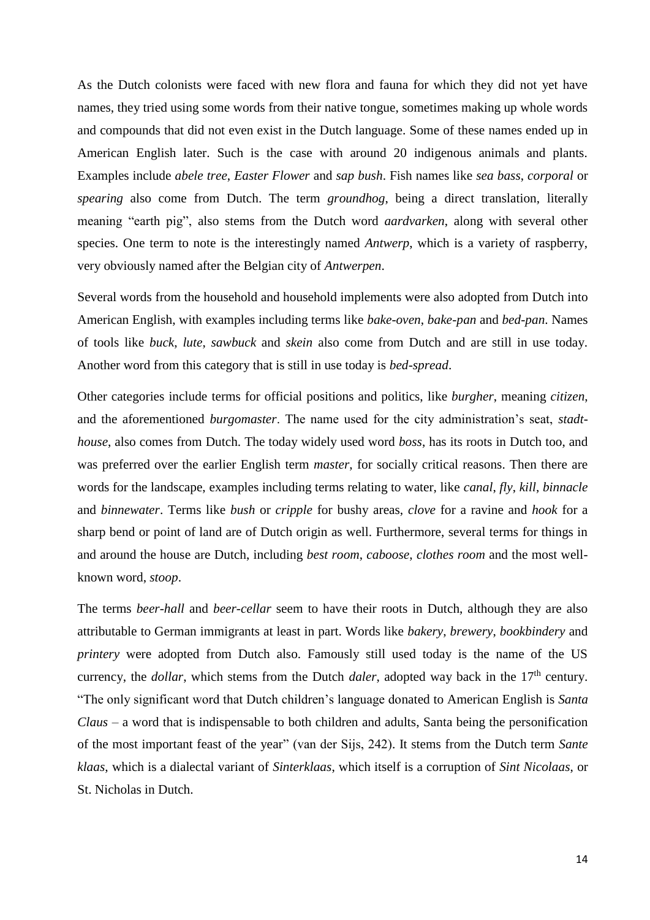As the Dutch colonists were faced with new flora and fauna for which they did not yet have names, they tried using some words from their native tongue, sometimes making up whole words and compounds that did not even exist in the Dutch language. Some of these names ended up in American English later. Such is the case with around 20 indigenous animals and plants. Examples include *abele tree*, *Easter Flower* and *sap bush*. Fish names like *sea bass*, *corporal* or *spearing* also come from Dutch. The term *groundhog*, being a direct translation, literally meaning "earth pig", also stems from the Dutch word *aardvarken*, along with several other species. One term to note is the interestingly named *Antwerp*, which is a variety of raspberry, very obviously named after the Belgian city of *Antwerpen*.

Several words from the household and household implements were also adopted from Dutch into American English, with examples including terms like *bake-oven*, *bake-pan* and *bed-pan*. Names of tools like *buck*, *lute*, *sawbuck* and *skein* also come from Dutch and are still in use today. Another word from this category that is still in use today is *bed-spread*.

Other categories include terms for official positions and politics, like *burgher*, meaning *citizen*, and the aforementioned *burgomaster*. The name used for the city administration's seat, *stadthouse*, also comes from Dutch. The today widely used word *boss*, has its roots in Dutch too, and was preferred over the earlier English term *master*, for socially critical reasons. Then there are words for the landscape, examples including terms relating to water, like *canal*, *fly*, *kill*, *binnacle* and *binnewater*. Terms like *bush* or *cripple* for bushy areas, *clove* for a ravine and *hook* for a sharp bend or point of land are of Dutch origin as well. Furthermore, several terms for things in and around the house are Dutch, including *best room*, *caboose*, *clothes room* and the most wellknown word, *stoop*.

The terms *beer-hall* and *beer-cellar* seem to have their roots in Dutch, although they are also attributable to German immigrants at least in part. Words like *bakery*, *brewery*, *bookbindery* and *printery* were adopted from Dutch also. Famously still used today is the name of the US currency, the *dollar*, which stems from the Dutch *daler*, adopted way back in the 17<sup>th</sup> century. "The only significant word that Dutch children's language donated to American English is *Santa Claus* – a word that is indispensable to both children and adults, Santa being the personification of the most important feast of the year" (van der Sijs, 242). It stems from the Dutch term *Sante klaas*, which is a dialectal variant of *Sinterklaas*, which itself is a corruption of *Sint Nicolaas*, or St. Nicholas in Dutch.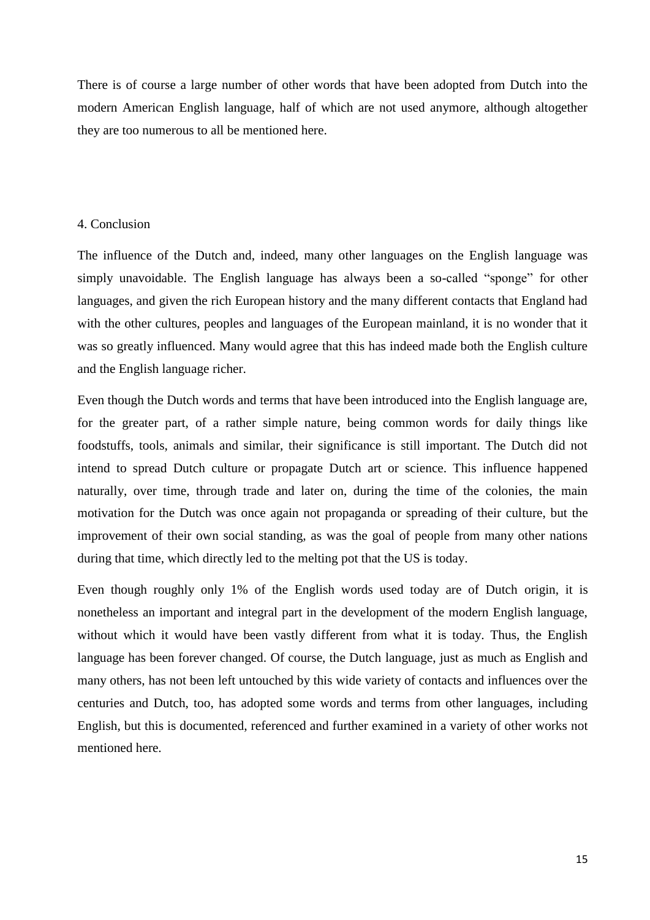There is of course a large number of other words that have been adopted from Dutch into the modern American English language, half of which are not used anymore, although altogether they are too numerous to all be mentioned here.

#### 4. Conclusion

The influence of the Dutch and, indeed, many other languages on the English language was simply unavoidable. The English language has always been a so-called "sponge" for other languages, and given the rich European history and the many different contacts that England had with the other cultures, peoples and languages of the European mainland, it is no wonder that it was so greatly influenced. Many would agree that this has indeed made both the English culture and the English language richer.

Even though the Dutch words and terms that have been introduced into the English language are, for the greater part, of a rather simple nature, being common words for daily things like foodstuffs, tools, animals and similar, their significance is still important. The Dutch did not intend to spread Dutch culture or propagate Dutch art or science. This influence happened naturally, over time, through trade and later on, during the time of the colonies, the main motivation for the Dutch was once again not propaganda or spreading of their culture, but the improvement of their own social standing, as was the goal of people from many other nations during that time, which directly led to the melting pot that the US is today.

Even though roughly only 1% of the English words used today are of Dutch origin, it is nonetheless an important and integral part in the development of the modern English language, without which it would have been vastly different from what it is today. Thus, the English language has been forever changed. Of course, the Dutch language, just as much as English and many others, has not been left untouched by this wide variety of contacts and influences over the centuries and Dutch, too, has adopted some words and terms from other languages, including English, but this is documented, referenced and further examined in a variety of other works not mentioned here.